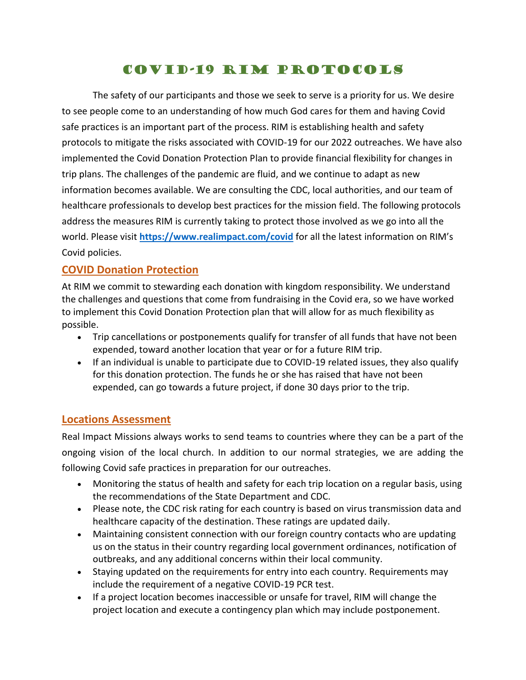# COVID-19 RIM Protocols

The safety of our participants and those we seek to serve is a priority for us. We desire to see people come to an understanding of how much God cares for them and having Covid safe practices is an important part of the process. RIM is establishing health and safety protocols to mitigate the risks associated with COVID-19 for our 2022 outreaches. We have also implemented the Covid Donation Protection Plan to provide financial flexibility for changes in trip plans. The challenges of the pandemic are fluid, and we continue to adapt as new information becomes available. We are consulting the CDC, local authorities, and our team of healthcare professionals to develop best practices for the mission field. The following protocols address the measures RIM is currently taking to protect those involved as we go into all the world. Please visit **<https://www.realimpact.com/covid>** for all the latest information on RIM's Covid policies.

#### **COVID Donation Protection**

At RIM we commit to stewarding each donation with kingdom responsibility. We understand the challenges and questions that come from fundraising in the Covid era, so we have worked to implement this Covid Donation Protection plan that will allow for as much flexibility as possible.

- Trip cancellations or postponements qualify for transfer of all funds that have not been expended, toward another location that year or for a future RIM trip.
- If an individual is unable to participate due to COVID-19 related issues, they also qualify for this donation protection. The funds he or she has raised that have not been expended, can go towards a future project, if done 30 days prior to the trip.

#### **Locations Assessment**

Real Impact Missions always works to send teams to countries where they can be a part of the ongoing vision of the local church. In addition to our normal strategies, we are adding the following Covid safe practices in preparation for our outreaches.

- Monitoring the status of health and safety for each trip location on a regular basis, using the recommendations of the State Department and CDC.
- Please note, the CDC risk rating for each country is based on virus transmission data and healthcare capacity of the destination. These ratings are updated daily.
- Maintaining consistent connection with our foreign country contacts who are updating us on the status in their country regarding local government ordinances, notification of outbreaks, and any additional concerns within their local community.
- Staying updated on the requirements for entry into each country. Requirements may include the requirement of a negative COVID-19 PCR test.
- If a project location becomes inaccessible or unsafe for travel, RIM will change the project location and execute a contingency plan which may include postponement.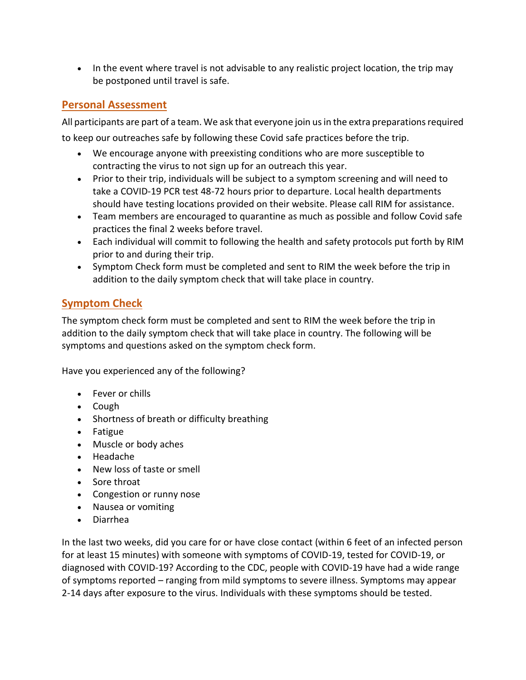• In the event where travel is not advisable to any realistic project location, the trip may be postponed until travel is safe.

## **Personal Assessment**

All participants are part of a team. We ask that everyone join us in the extra preparations required to keep our outreaches safe by following these Covid safe practices before the trip.

- We encourage anyone with preexisting conditions who are more susceptible to contracting the virus to not sign up for an outreach this year.
- Prior to their trip, individuals will be subject to a symptom screening and will need to take a COVID-19 PCR test 48-72 hours prior to departure. Local health departments should have testing locations provided on their website. Please call RIM for assistance.
- Team members are encouraged to quarantine as much as possible and follow Covid safe practices the final 2 weeks before travel.
- Each individual will commit to following the health and safety protocols put forth by RIM prior to and during their trip.
- Symptom Check form must be completed and sent to RIM the week before the trip in addition to the daily symptom check that will take place in country.

## **Symptom Check**

The symptom check form must be completed and sent to RIM the week before the trip in addition to the daily symptom check that will take place in country. The following will be symptoms and questions asked on the symptom check form.

Have you experienced any of the following?

- Fever or chills
- Cough
- Shortness of breath or difficulty breathing
- Fatigue
- Muscle or body aches
- Headache
- New loss of taste or smell
- Sore throat
- Congestion or runny nose
- Nausea or vomiting
- Diarrhea

In the last two weeks, did you care for or have close contact (within 6 feet of an infected person for at least 15 minutes) with someone with symptoms of COVID-19, tested for COVID-19, or diagnosed with COVID-19? According to the CDC, people with COVID-19 have had a wide range of symptoms reported – ranging from mild symptoms to severe illness. Symptoms may appear 2-14 days after exposure to the virus. Individuals with these symptoms should be tested.